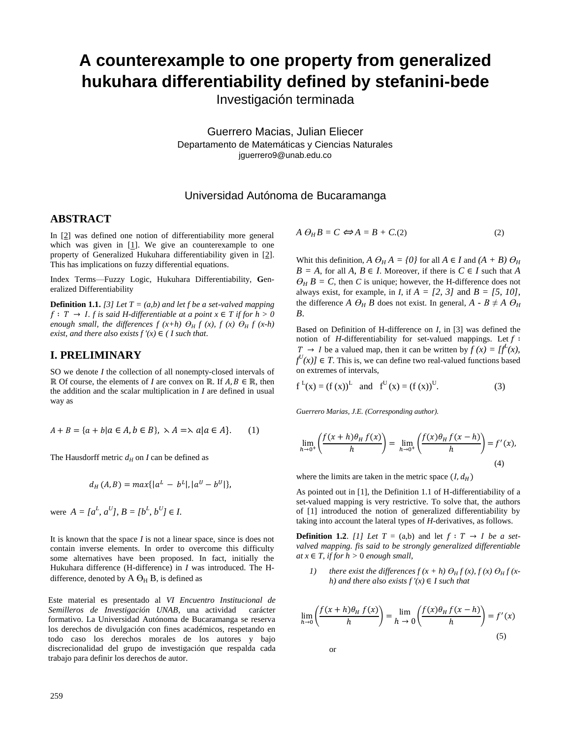# **A counterexample to one property from generalized hukuhara differentiability defined by stefanini-bede**

Investigación terminada

Guerrero Macias, Julian Eliecer Departamento de Matemáticas y Ciencias Naturales jguerrero9@unab.edu.co

## Universidad Autónoma de Bucaramanga

#### **ABSTRACT**

In [2] was defined one notion of differentiability more general which was given in  $[1]$ . We give an counterexample to one property of Generalized Hukuhara differentiability given in [2]. This has implications on fuzzy differential equations.

Index Terms—Fuzzy Logic, Hukuhara Differentiability, **G**eneralized Differentiability

**Definition 1.1.** [3] Let  $T = (a,b)$  and let f be a set-valved mapping  $f: T → I$ . *f is said H-differentiable at a point x* ∈ *T if for h > 0 enough small, the differences f*  $(x+h)$  $\Theta$ *<sup>H</sup>*  $f$ *</sup>*  $(x)$ *,*  $f$  $(x)$  $\Theta$ *<sup>H</sup>*  $f$  $(x-h)$ *exist, and there also exists*  $f'(x) \in (I \text{ such that.})$ 

### **I. PRELIMINARY**

SO we denote *I* the collection of all nonempty-closed intervals of  $ℝ$  Of course, the elements of *I* are convex on ℝ. If  $A, B \in \mathbb{R}$ , then the addition and the scalar multiplication in *I* are defined in usual way as

$$
A + B = \{a + b | a \in A, b \in B\}, \quad \lambda A = \lambda a | a \in A\}.
$$
 (1)

The Hausdorff metric  $d_H$  on *I* can be defined as

$$
d_H(A, B) = max\{|a^L - b^L|, |a^U - b^U|\},\
$$

were  $A = [a^L, a^U], B = [b^L, b^U] \in I$ .

It is known that the space *I* is not a linear space, since is does not contain inverse elements. In order to overcome this difficulty some alternatives have been proposed. In fact, initially the Hukuhara difference (H-difference) in *I* was introduced. The Hdifference, denoted by  $A \Theta_H B$ , is defined as

Este material es presentado al *VI Encuentro Institucional de Semilleros de Investigación UNAB*, una actividad carácter formativo. La Universidad Autónoma de Bucaramanga se reserva los derechos de divulgación con fines académicos, respetando en todo caso los derechos morales de los autores y bajo discrecionalidad del grupo de investigación que respalda cada trabajo para definir los derechos de autor.

$$
A \Theta_H B = C \Leftrightarrow A = B + C.(2) \tag{2}
$$

Whit this definition,  $A \Theta_H A = \{0\}$  for all  $A \in I$  and  $(A + B) \Theta_H$  $B = A$ , for all  $A, B \in I$ . Moreover, if there is  $C \in I$  such that  $A$  $\theta_H B = C$ , then *C* is unique; however, the H-difference does not always exist, for example, in *I*, if  $A = \{2, 3\}$  and  $B = \{5, 10\}$ , the difference *A*  $\Theta_H$  *B* does not exist. In general, *A* - *B*  $\neq$  *A*  $\Theta_H$ *B*.

Based on Definition of H-difference on *I,* in [3] was defined the notion of *H*-differentiability for set-valued mappings. Let  $f$ :  $T \rightarrow I$  be a valued map, then it can be written by  $f(x) = [f^L(x)]$ ,  $f^{U}(x)$   $\in$  *T*. This is, we can define two real-valued functions based on extremes of intervals,

$$
f^{L}(x) = (f(x))^{L}
$$
 and  $f^{U}(x) = (f(x))^{U}$ . (3)

*Guerrero Marias, J.E. (Corresponding author).*

$$
\lim_{h \to 0^+} \left( \frac{f(x+h)\theta_H f(x)}{h} \right) = \lim_{h \to 0^+} \left( \frac{f(x)\theta_H f(x-h)}{h} \right) = f'(x),\tag{4}
$$

where the limits are taken in the metric space  $(I, d_H)$ 

As pointed out in [1], the Definition 1.1 of H-differentiability of a set-valued mapping is very restrictive. To solve that, the authors of [1] introduced the notion of generalized differentiability by taking into account the lateral types of *H*-derivatives, as follows.

**Definition 1.2.** *[1] Let*  $T = (a,b)$  and let  $f : T \rightarrow I$  *be a setvalved mapping. fis said to be strongly generalized differentiable at*  $x \in T$ , *if for*  $h > 0$  *enough small*,

*1*) there exist the differences  $f(x+h) \theta_H f(x)$ ,  $f(x) \theta_H f(x)$ *h*) and there also exists  $f'(x) \in I$  such that

$$
\lim_{h \to 0} \left( \frac{f(x+h)\theta_H f(x)}{h} \right) = \lim_{h \to 0} \left( \frac{f(x)\theta_H f(x-h)}{h} \right) = f'(x)
$$
\n(5)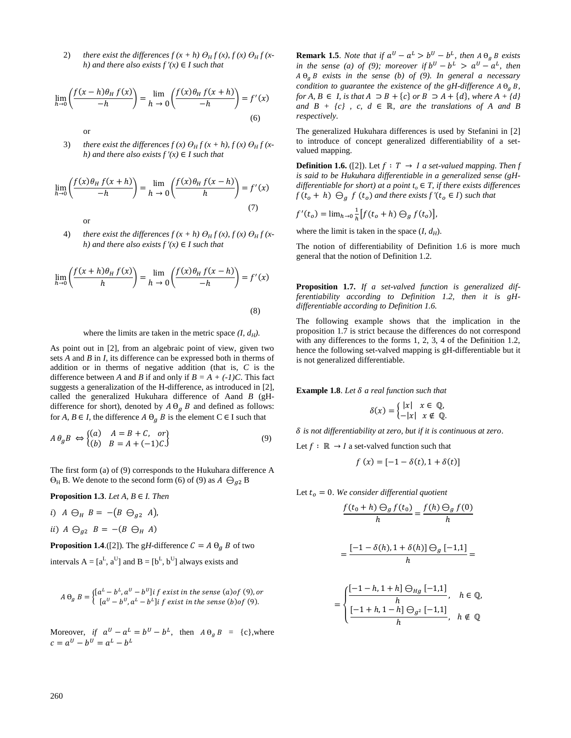2) there exist the differences  $f(x+h) \Theta_H f(x)$ ,  $f(x) \Theta_H f(x)$ *h)* and there also exists  $f'(x) \in I$  such that

$$
\lim_{h \to 0} \left( \frac{f(x-h)\theta_H f(x)}{-h} \right) = \lim_{h \to 0} \left( \frac{f(x)\theta_H f(x+h)}{-h} \right) = f'(x)
$$
\n(6)

or

or

3) there exist the differences  $f(x) \Theta_H f(x+h)$ ,  $f(x) \Theta_H f(x+h)$ *h)* and there also exists  $f'(x) \in I$  such that

$$
\lim_{h \to 0} \left( \frac{f(x)\theta_H f(x+h)}{-h} \right) = \lim_{h \to 0} \left( \frac{f(x)\theta_H f(x-h)}{h} \right) = f'(x)
$$
\n(7)

4) there exist the differences  $f(x+h) \Theta_H f(x)$ ,  $f(x) \Theta_H f(x)$ *h)* and there also exists  $f'(x) \in I$  such that

$$
\lim_{h \to 0} \left( \frac{f(x+h)\theta_H f(x)}{h} \right) = \lim_{h \to 0} \left( \frac{f(x)\theta_H f(x-h)}{-h} \right) = f'(x)
$$
\n(8)

where the limits are taken in the metric space *(I, dH).*

As point out in [2], from an algebraic point of view, given two sets *A* and *B* in *I*, its difference can be expressed both in therms of addition or in therms of negative addition (that is, *C* is the difference between *A* and *B* if and only if  $B = A + (-1)C$ . This fact suggests a generalization of the H-difference, as introduced in [2], called the generalized Hukuhara difference of Aand *B* (gHdifference for short), denoted by  $A \Theta_g B$  and defined as follows: for *A*,  $B \in I$ , the difference  $A \Theta_q B$  is the element  $C \in I$  such that

$$
A \theta_g B \iff \begin{cases} (a) & A = B + C, \text{ or} \\ (b) & B = A + (-1)C. \end{cases}
$$
 (9)

The first form (a) of (9) corresponds to the Hukuhara difference A  $\Theta_H$  B. We denote to the second form (6) of (9) as  $A \Theta_{q2}$  B

**Proposition 1.3**. *Let A, B* ∈ *I. Then*

- i)  $A \ominus_H B = -(B \ominus_{a2} A)$ ,
- ii)  $A \ominus_{q_2} B = -(B \ominus_H A)$

**Proposition 1.4.**([2]). The gH-difference  $C = A \Theta_g B$  of two

intervals  $A = [a^L, a^U]$  and  $B = [b^L, b^U]$  always exists and

$$
A \Theta_g B = \begin{cases} [a^L - b^L, a^U - b^U] \mathbf{i} \ f \ \text{exist in the sense (a) of (9), or} \\ [a^U - b^U, a^L - b^L] \mathbf{i} \ f \ \text{exist in the sense (b) of (9).} \end{cases}
$$

Moreover, *if*  $a^U - a^L = b^U - b^L$ , then  $A \theta_g B = \{c\}$ , where  $c = a^U - b^U = a^L - b^L$ 

**Remark 1.5**. *Note that if*  $a^U - a^L > b^U - b^L$ , then  $A \theta_g B$  exists *in the sense (a) of (9); moreover if*  $b^U - b^L > a^U - a^L$ , then  $A \Theta_q B$  exists in the sense (b) of (9). In general a necessary *condition to guarantee the existence of the gH-difference*  $A \theta_a B$ , *for A, B* ∈ *I, is that A*  $\supset$  *B* + {*c*} *or B*  $\supset$  *A* + {*d*}, *where A* + {*d*} *and*  $B + {c}$ , *c, d*  $\in \mathbb{R}$ *, are the translations of A and B respectively.*

The generalized Hukuhara differences is used by Stefanini in [2] to introduce of concept generalized differentiability of a setvalued mapping.

**Definition 1.6.** ([2]). Let  $f : T \rightarrow I$  a set-valued mapping. Then f *is said to be Hukuhara differentiable in a generalized sense (gHdifferentiable for short) at a point*  $t<sub>o</sub> \in T$ *, if there exists differences*  $f(t_o + h) \bigoplus_{a} f(t_o)$  *and there exists f* ' $(t_o \in I)$  *such that* 

$$
f'(t_o) = \lim_{h \to 0} \frac{1}{h} [f(t_o + h) \Theta_g f(t_o)],
$$

where the limit is taken in the space  $(I, d_H)$ .

The notion of differentiability of Definition 1.6 is more much general that the notion of Definition 1.2.

**Proposition 1.7.** *If a set-valved function is generalized differentiability according to Definition 1.2, then it is gHdifferentiable according to Definition 1.6.*

The following example shows that the implication in the proposition 1.7 is strict because the differences do not correspond with any differences to the forms 1, 2, 3, 4 of the Definition 1.2, hence the following set-valved mapping is gH-differentiable but it is not generalized differentiable.

**Example 1.8**. *Let a real function such that*

$$
\delta(x) = \begin{cases} |x| & x \in \mathbb{Q}, \\ -|x| & x \notin \mathbb{Q}. \end{cases}
$$

*is not differentiability at zero, but if it is continuous at zero*.

Let  $f : \mathbb{R} \to I$  a set-valved function such that

$$
f(x) = [-1 - \delta(t), 1 + \delta(t)]
$$

Let  $t<sub>o</sub> = 0$ *. We consider differential quotient* 

=

$$
\frac{f(t_0+h)\Theta_g f(t_0)}{h} = \frac{f(h)\Theta_g f(0)}{h}
$$

$$
\frac{[-1-\delta(h),1+\delta(h)]\ominus_g[-1,1]}{h} =
$$

$$
= \begin{cases} \frac{[-1-h,1+h] \ominus_{Hg} [-1,1]}{h}, & h \in \mathbb{Q}, \\ \frac{[-1+h,1-h] \ominus_{g^2} [-1,1]}{h}, & h \notin \mathbb{Q} \end{cases}
$$